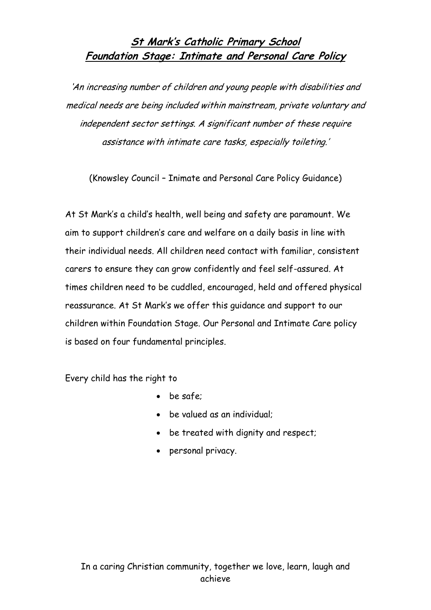## **St Mark's Catholic Primary School Foundation Stage: Intimate and Personal Care Policy**

'An increasing number of children and young people with disabilities and medical needs are being included within mainstream, private voluntary and independent sector settings. A significant number of these require assistance with intimate care tasks, especially toileting.'

(Knowsley Council – Inimate and Personal Care Policy Guidance)

At St Mark's a child's health, well being and safety are paramount. We aim to support children's care and welfare on a daily basis in line with their individual needs. All children need contact with familiar, consistent carers to ensure they can grow confidently and feel self-assured. At times children need to be cuddled, encouraged, held and offered physical reassurance. At St Mark's we offer this guidance and support to our children within Foundation Stage. Our Personal and Intimate Care policy is based on four fundamental principles.

Every child has the right to

- be safe;
- be valued as an individual:
- be treated with dignity and respect;
- personal privacy.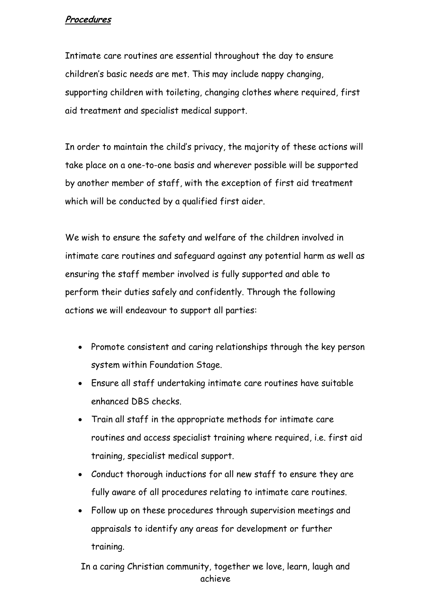## **Procedures**

Intimate care routines are essential throughout the day to ensure children's basic needs are met. This may include nappy changing, supporting children with toileting, changing clothes where required, first aid treatment and specialist medical support.

In order to maintain the child's privacy, the majority of these actions will take place on a one-to-one basis and wherever possible will be supported by another member of staff, with the exception of first aid treatment which will be conducted by a qualified first aider.

We wish to ensure the safety and welfare of the children involved in intimate care routines and safeguard against any potential harm as well as ensuring the staff member involved is fully supported and able to perform their duties safely and confidently. Through the following actions we will endeavour to support all parties:

- Promote consistent and caring relationships through the key person system within Foundation Stage.
- Ensure all staff undertaking intimate care routines have suitable enhanced DBS checks.
- Train all staff in the appropriate methods for intimate care routines and access specialist training where required, i.e. first aid training, specialist medical support.
- Conduct thorough inductions for all new staff to ensure they are fully aware of all procedures relating to intimate care routines.
- Follow up on these procedures through supervision meetings and appraisals to identify any areas for development or further training.

In a caring Christian community, together we love, learn, laugh and achieve